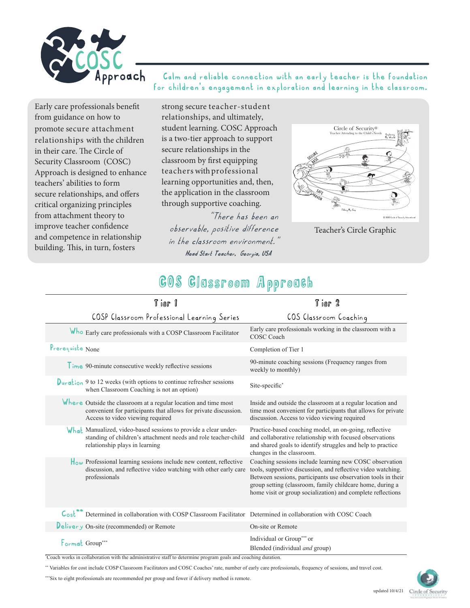

### **Calm and reliable connection with an early teacher is the foundation for children's engagement in exploration and learning in the classroom.**

Early care professionals benefit from guidance on how to promote secure attachment relationships with the children in their care. The Circle of Security Classroom (COSC) Approach is designed to enhance teachers' abilities to form secure relationships, and offers critical organizing principles from attachment theory to improve teacher confidence and competence in relationship building. This, in turn, fosters

strong secure teacher-student relationships, and ultimately, student learning. COSC Approach is a two-tier approach to support secure relationships in the classroom by first equipping teachers with professional learning opportunities and, then, the application in the classroom through supportive coaching.

"There has been an observable, positive difference in the classroom environment." **Head Start Teacher, Georgia, USA**



Teacher's Circle Graphic

# COS Classroom Approach

| Tier 1                                                                                                                                                                 | Tier 2                                                                                                                                                                                                                                                                                                               |
|------------------------------------------------------------------------------------------------------------------------------------------------------------------------|----------------------------------------------------------------------------------------------------------------------------------------------------------------------------------------------------------------------------------------------------------------------------------------------------------------------|
| COSP Classroom Professional Learning Series                                                                                                                            | COS Classroom Coaching                                                                                                                                                                                                                                                                                               |
| Who Early care professionals with a COSP Classroom Facilitator                                                                                                         | Early care professionals working in the classroom with a<br><b>COSC Coach</b>                                                                                                                                                                                                                                        |
| Prerequiste None                                                                                                                                                       | Completion of Tier 1                                                                                                                                                                                                                                                                                                 |
| $Time$ 90-minute consecutive weekly reflective sessions                                                                                                                | 90-minute coaching sessions (Frequency ranges from<br>weekly to monthly)                                                                                                                                                                                                                                             |
| $Duration$ 9 to 12 weeks (with options to continue refresher sessions<br>when Classroom Coaching is not an option)                                                     | Site-specific*                                                                                                                                                                                                                                                                                                       |
| Where Outside the classroom at a regular location and time most<br>convenient for participants that allows for private discussion.<br>Access to video viewing required | Inside and outside the classroom at a regular location and<br>time most convenient for participants that allows for private<br>discussion. Access to video viewing required                                                                                                                                          |
| What Manualized, video-based sessions to provide a clear under-<br>standing of children's attachment needs and role teacher-child<br>relationship plays in learning    | Practice-based coaching model, an on-going, reflective<br>and collaborative relationship with focused observations<br>and shared goals to identify struggles and help to practice<br>changes in the classroom.                                                                                                       |
| $\ $ <sub>o</sub> w Professional learning sessions include new content, reflective<br>discussion, and reflective video watching with other early care<br>professionals | Coaching sessions include learning new COSC observation<br>tools, supportive discussion, and reflective video watching.<br>Between sessions, participants use observation tools in their<br>group setting (classroom, family childcare home, during a<br>home visit or group socialization) and complete reflections |
| Cost <sup>**</sup> Determined in collaboration with COSP Classroom Facilitator Determined in collaboration with COSC Coach                                             |                                                                                                                                                                                                                                                                                                                      |
| Delivery On-site (recommended) or Remote                                                                                                                               | On-site or Remote                                                                                                                                                                                                                                                                                                    |
| Format Group***<br>Coach works in collaboration with the administrative staff to determine program goals and coaching duration.                                        | Individual or Group*** or<br>Blended (individual <i>and</i> group)                                                                                                                                                                                                                                                   |

\*\* Variables for cost include COSP Classroom Facilitators and COSC Coaches' rate, number of early care professionals, frequency of sessions, and travel cost.

\*\*\*Six to eight professionals are recommended per group and fewer if delivery method is remote.